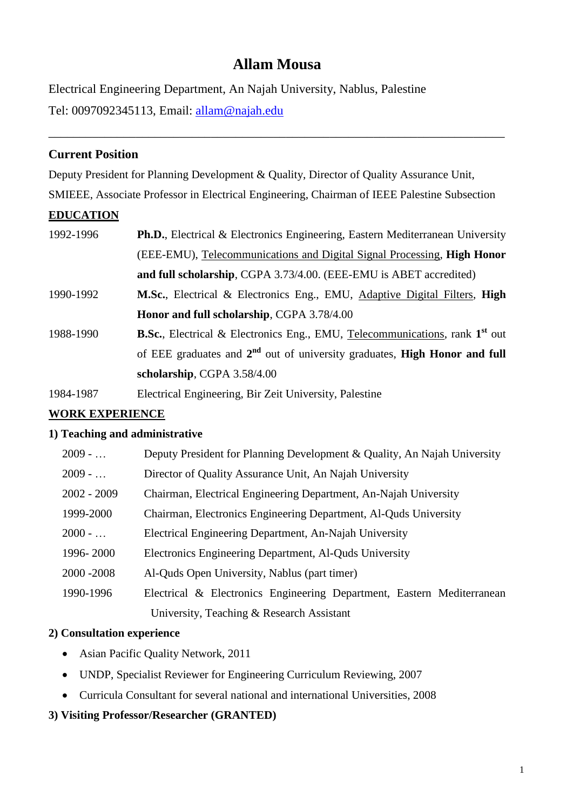# **Allam Mousa**

\_\_\_\_\_\_\_\_\_\_\_\_\_\_\_\_\_\_\_\_\_\_\_\_\_\_\_\_\_\_\_\_\_\_\_\_\_\_\_\_\_\_\_\_\_\_\_\_\_\_\_\_\_\_\_\_\_\_\_\_\_\_\_\_\_\_\_\_\_\_\_\_\_

Electrical Engineering Department, An Najah University, Nablus, Palestine Tel: 0097092345113, Email: [allam@najah.edu](mailto:allam@najah.edu)

# **Current Position**

Deputy President for Planning Development & Quality, Director of Quality Assurance Unit, SMIEEE, Associate Professor in Electrical Engineering, Chairman of IEEE Palestine Subsection

# **EDUCATION**

| 1992-1996 | <b>Ph.D.</b> , Electrical & Electronics Engineering, Eastern Mediterranean University           |
|-----------|-------------------------------------------------------------------------------------------------|
|           | (EEE-EMU), Telecommunications and Digital Signal Processing, <b>High Honor</b>                  |
|           | and full scholarship, CGPA 3.73/4.00. (EEE-EMU is ABET accredited)                              |
| 1990-1992 | M.Sc., Electrical & Electronics Eng., EMU, Adaptive Digital Filters, High                       |
|           | Honor and full scholarship, CGPA 3.78/4.00                                                      |
| 1988-1990 | <b>B.Sc.</b> , Electrical & Electronics Eng., EMU, Telecommunications, rank 1 <sup>st</sup> out |
|           | of EEE graduates and $2^{nd}$ out of university graduates, <b>High Honor and full</b>           |
|           | scholarship, CGPA 3.58/4.00                                                                     |
| 1984-1987 | Electrical Engineering, Bir Zeit University, Palestine                                          |

# **WORK EXPERIENCE**

# **1) Teaching and administrative**

| $2009 - $     | Deputy President for Planning Development & Quality, An Najah University |
|---------------|--------------------------------------------------------------------------|
| $2009 - $     | Director of Quality Assurance Unit, An Najah University                  |
| $2002 - 2009$ | Chairman, Electrical Engineering Department, An-Najah University         |
| 1999-2000     | Chairman, Electronics Engineering Department, Al-Quds University         |
| $2000 - $     | Electrical Engineering Department, An-Najah University                   |
| 1996-2000     | Electronics Engineering Department, Al-Quds University                   |
| 2000 - 2008   | Al-Quds Open University, Nablus (part timer)                             |
| 1990-1996     | Electrical & Electronics Engineering Department, Eastern Mediterranean   |
|               | University, Teaching & Research Assistant                                |

# **2) Consultation experience**

- Asian Pacific Quality Network, 2011
- UNDP, Specialist Reviewer for Engineering Curriculum Reviewing, 2007
- Curricula Consultant for several national and international Universities, 2008

# **3) Visiting Professor/Researcher (GRANTED)**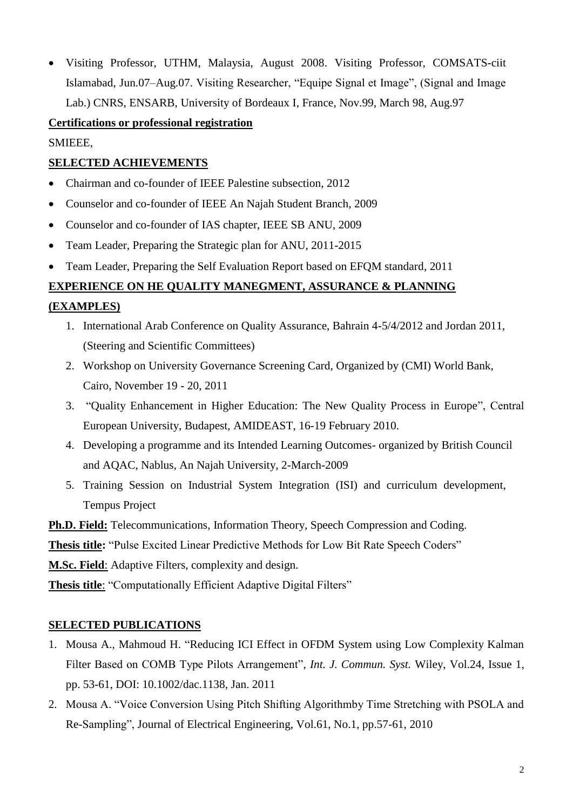Visiting Professor, UTHM, Malaysia, August 2008. Visiting Professor, COMSATS-ciit Islamabad, Jun.07–Aug.07. Visiting Researcher, "Equipe Signal et Image", (Signal and Image Lab.) CNRS, ENSARB, University of Bordeaux I, France, Nov.99, March 98, Aug.97

#### **Certifications or professional registration**

SMIEEE,

### **SELECTED ACHIEVEMENTS**

- Chairman and co-founder of IEEE Palestine subsection, 2012
- Counselor and co-founder of IEEE An Najah Student Branch, 2009
- Counselor and co-founder of IAS chapter, IEEE SB ANU, 2009
- Team Leader, Preparing the Strategic plan for ANU, 2011-2015
- Team Leader, Preparing the Self Evaluation Report based on EFQM standard, 2011

### **EXPERIENCE ON HE QUALITY MANEGMENT, ASSURANCE & PLANNING**

#### **(EXAMPLES)**

- 1. International Arab Conference on Quality Assurance, Bahrain 4-5/4/2012 and Jordan 2011, (Steering and Scientific Committees)
- 2. Workshop on University Governance Screening Card, Organized by (CMI) World Bank, Cairo, November 19 - 20, 2011
- 3. "Quality Enhancement in Higher Education: The New Quality Process in Europe", Central European University, Budapest, AMIDEAST, 16-19 February 2010.
- 4. Developing a programme and its Intended Learning Outcomes- organized by British Council and AQAC, Nablus, An Najah University, 2-March-2009
- 5. Training Session on Industrial System Integration (ISI) and curriculum development, Tempus Project

**Ph.D. Field:** Telecommunications, Information Theory, Speech Compression and Coding.

**Thesis title:** "Pulse Excited Linear Predictive Methods for Low Bit Rate Speech Coders"

**M.Sc. Field**: Adaptive Filters, complexity and design.

**Thesis title**: "Computationally Efficient Adaptive Digital Filters"

#### **SELECTED PUBLICATIONS**

- 1. Mousa A., Mahmoud H. "Reducing ICI Effect in OFDM System using Low Complexity Kalman Filter Based on COMB Type Pilots Arrangement", *Int. J. Commun. Syst.* Wiley, Vol.24, Issue 1, pp. 53-61, DOI: 10.1002/dac.1138, Jan. 2011
- 2. Mousa A. "Voice Conversion Using Pitch Shifting Algorithmby Time Stretching with PSOLA and Re-Sampling", Journal of Electrical Engineering, Vol.61, No.1, pp.57-61, 2010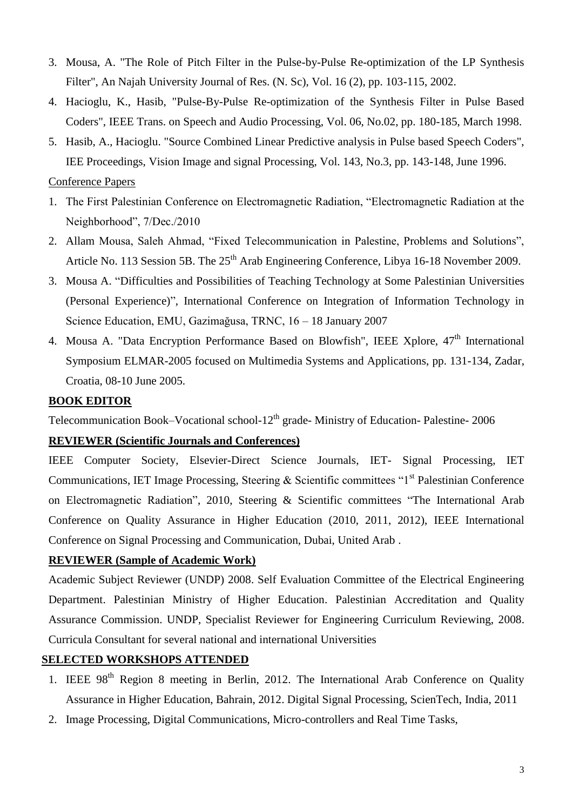- 3. Mousa, A. "The Role of Pitch Filter in the Pulse-by-Pulse Re-optimization of the LP Synthesis Filter", An Najah University Journal of Res. (N. Sc), Vol. 16 (2), pp. 103-115, 2002.
- 4. Hacioglu, K., Hasib, "Pulse-By-Pulse Re-optimization of the Synthesis Filter in Pulse Based Coders", IEEE Trans. on Speech and Audio Processing, Vol. 06, No.02, pp. 180-185, March 1998.
- 5. Hasib, A., Hacioglu. "Source Combined Linear Predictive analysis in Pulse based Speech Coders", IEE Proceedings, Vision Image and signal Processing, Vol. 143, No.3, pp. 143-148, June 1996.

#### Conference Papers

- 1. The First Palestinian Conference on Electromagnetic Radiation, "Electromagnetic Radiation at the Neighborhood", 7/Dec./2010
- 2. Allam Mousa, Saleh Ahmad, "Fixed Telecommunication in Palestine, Problems and Solutions", Article No. 113 Session 5B. The 25<sup>th</sup> Arab Engineering Conference, Libya 16-18 November 2009.
- 3. Mousa A. "Difficulties and Possibilities of Teaching Technology at Some Palestinian Universities (Personal Experience)", International Conference on Integration of Information Technology in Science Education, EMU, Gazimağusa, TRNC, 16 – 18 January 2007
- 4. Mousa A. "Data Encryption Performance Based on Blowfish", IEEE Xplore, 47<sup>th</sup> International Symposium ELMAR-2005 focused on Multimedia Systems and Applications, pp. 131-134, Zadar, Croatia, 08-10 June 2005.

#### **BOOK EDITOR**

Telecommunication Book–Vocational school-12<sup>th</sup> grade- Ministry of Education- Palestine- 2006

#### **REVIEWER (Scientific Journals and Conferences)**

IEEE Computer Society, Elsevier-Direct Science Journals, IET- Signal Processing, IET Communications, IET Image Processing, Steering & Scientific committees " $1<sup>st</sup>$  Palestinian Conference on Electromagnetic Radiation", 2010, Steering & Scientific committees "The International Arab Conference on Quality Assurance in Higher Education (2010, 2011, 2012), IEEE International Conference on Signal Processing and Communication, Dubai, United Arab .

#### **REVIEWER (Sample of Academic Work)**

Academic Subject Reviewer (UNDP) 2008. Self Evaluation Committee of the Electrical Engineering Department. Palestinian Ministry of Higher Education. Palestinian Accreditation and Quality Assurance Commission. UNDP, Specialist Reviewer for Engineering Curriculum Reviewing, 2008. Curricula Consultant for several national and international Universities

#### **SELECTED WORKSHOPS ATTENDED**

- 1. IEEE 98<sup>th</sup> Region 8 meeting in Berlin, 2012. The International Arab Conference on Quality Assurance in Higher Education, Bahrain, 2012. Digital Signal Processing, ScienTech, India, 2011
- 2. Image Processing, Digital Communications, Micro-controllers and Real Time Tasks,